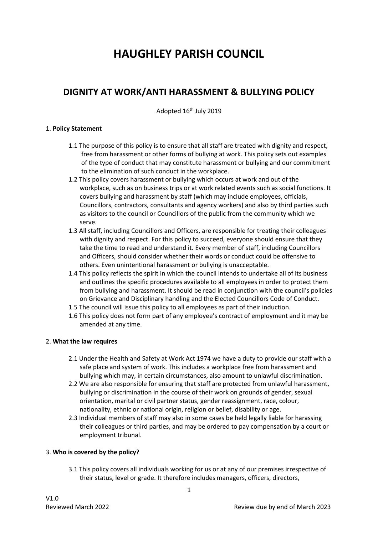# **HAUGHLEY PARISH COUNCIL**

# **DIGNITY AT WORK/ANTI HARASSMENT & BULLYING POLICY**

Adopted 16<sup>th</sup> July 2019

#### 1. **Policy Statement**

- 1.1 The purpose of this policy is to ensure that all staff are treated with dignity and respect, free from harassment or other forms of bullying at work. This policy sets out examples of the type of conduct that may constitute harassment or bullying and our commitment to the elimination of such conduct in the workplace.
- 1.2 This policy covers harassment or bullying which occurs at work and out of the workplace, such as on business trips or at work related events such as social functions. It covers bullying and harassment by staff (which may include employees, officials, Councillors, contractors, consultants and agency workers) and also by third parties such as visitors to the council or Councillors of the public from the community which we serve.
- 1.3 All staff, including Councillors and Officers, are responsible for treating their colleagues with dignity and respect. For this policy to succeed, everyone should ensure that they take the time to read and understand it. Every member of staff, including Councillors and Officers, should consider whether their words or conduct could be offensive to others. Even unintentional harassment or bullying is unacceptable.
- 1.4 This policy reflects the spirit in which the council intends to undertake all of its business and outlines the specific procedures available to all employees in order to protect them from bullying and harassment. It should be read in conjunction with the council's policies on Grievance and Disciplinary handling and the Elected Councillors Code of Conduct.
- 1.5 The council will issue this policy to all employees as part of their induction.
- 1.6 This policy does not form part of any employee's contract of employment and it may be amended at any time.

### 2. **What the law requires**

- 2.1 Under the Health and Safety at Work Act 1974 we have a duty to provide our staff with a safe place and system of work. This includes a workplace free from harassment and bullying which may, in certain circumstances, also amount to unlawful discrimination.
- 2.2 We are also responsible for ensuring that staff are protected from unlawful harassment, bullying or discrimination in the course of their work on grounds of gender, sexual orientation, marital or civil partner status, gender reassignment, race, colour, nationality, ethnic or national origin, religion or belief, disability or age.
- 2.3 Individual members of staff may also in some cases be held legally liable for harassing their colleagues or third parties, and may be ordered to pay compensation by a court or employment tribunal.

### 3. **Who is covered by the policy?**

3.1 This policy covers all individuals working for us or at any of our premises irrespective of their status, level or grade. It therefore includes managers, officers, directors,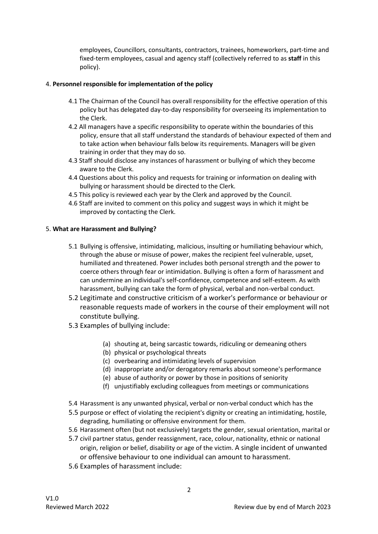employees, Councillors, consultants, contractors, trainees, homeworkers, part-time and fixed-term employees, casual and agency staff (collectively referred to as **staff** in this policy).

#### 4. **Personnel responsible for implementation of the policy**

- 4.1 The Chairman of the Council has overall responsibility for the effective operation of this policy but has delegated day-to-day responsibility for overseeing its implementation to the Clerk.
- 4.2 All managers have a specific responsibility to operate within the boundaries of this policy, ensure that all staff understand the standards of behaviour expected of them and to take action when behaviour falls below its requirements. Managers will be given training in order that they may do so.
- 4.3 Staff should disclose any instances of harassment or bullying of which they become aware to the Clerk.
- 4.4 Questions about this policy and requests for training or information on dealing with bullying or harassment should be directed to the Clerk.
- 4.5 This policy is reviewed each year by the Clerk and approved by the Council.
- 4.6 Staff are invited to comment on this policy and suggest ways in which it might be improved by contacting the Clerk.

#### 5. **What are Harassment and Bullying?**

- 5.1 Bullying is offensive, intimidating, malicious, insulting or humiliating behaviour which, through the abuse or misuse of power, makes the recipient feel vulnerable, upset, humiliated and threatened. Power includes both personal strength and the power to coerce others through fear or intimidation. Bullying is often a form of harassment and can undermine an individual's self-confidence, competence and self-esteem. As with harassment, bullying can take the form of physical, verbal and non-verbal conduct.
- 5.2 Legitimate and constructive criticism of a worker's performance or behaviour or reasonable requests made of workers in the course of their employment will not constitute bullying.
- 5.3 Examples of bullying include:
	- (a) shouting at, being sarcastic towards, ridiculing or demeaning others
	- (b) physical or psychological threats
	- (c) overbearing and intimidating levels of supervision
	- (d) inappropriate and/or derogatory remarks about someone's performance
	- (e) abuse of authority or power by those in positions of seniority
	- (f) unjustifiably excluding colleagues from meetings or communications
- 5.4 Harassment is any unwanted physical, verbal or non-verbal conduct which has the
- 5.5 purpose or effect of violating the recipient's dignity or creating an intimidating, hostile, degrading, humiliating or offensive environment for them.
- 5.6 Harassment often (but not exclusively) targets the gender, sexual orientation, marital or
- 5.7 civil partner status, gender reassignment, race, colour, nationality, ethnic or national origin, religion or belief, disability or age of the victim. A single incident of unwanted or offensive behaviour to one individual can amount to harassment.
- 5.6 Examples of harassment include: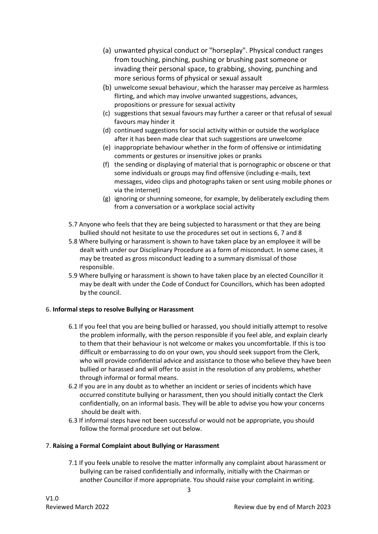- (a) unwanted physical conduct or "horseplay". Physical conduct ranges from touching, pinching, pushing or brushing past someone or invading their personal space, to grabbing, shoving, punching and more serious forms of physical or sexual assault
- (b) unwelcome sexual behaviour, which the harasser may perceive as harmless flirting, and which may involve unwanted suggestions, advances, propositions or pressure for sexual activity
- (c) suggestions that sexual favours may further a career or that refusal of sexual favours may hinder it
- (d) continued suggestions for social activity within or outside the workplace after it has been made clear that such suggestions are unwelcome
- (e) inappropriate behaviour whether in the form of offensive or intimidating comments or gestures or insensitive jokes or pranks
- (f) the sending or displaying of material that is pornographic or obscene or that some individuals or groups may find offensive (including e-mails, text messages, video clips and photographs taken or sent using mobile phones or via the internet)
- (g) ignoring or shunning someone, for example, by deliberately excluding them from a conversation or a workplace social activity
- 5.7 Anyone who feels that they are being subjected to harassment or that they are being bullied should not hesitate to use the procedures set out in sections 6, 7 and 8
- 5.8 Where bullying or harassment is shown to have taken place by an employee it will be dealt with under our Disciplinary Procedure as a form of misconduct. In some cases, it may be treated as gross misconduct leading to a summary dismissal of those responsible.
- 5.9 Where bullying or harassment is shown to have taken place by an elected Councillor it may be dealt with under the Code of Conduct for Councillors, which has been adopted by the council.

### 6. **Informal steps to resolve Bullying or Harassment**

- 6.1 If you feel that you are being bullied or harassed, you should initially attempt to resolve the problem informally, with the person responsible if you feel able, and explain clearly to them that their behaviour is not welcome or makes you uncomfortable. If this is too difficult or embarrassing to do on your own, you should seek support from the Clerk, who will provide confidential advice and assistance to those who believe they have been bullied or harassed and will offer to assist in the resolution of any problems, whether through informal or formal means.
- 6.2 If you are in any doubt as to whether an incident or series of incidents which have occurred constitute bullying or harassment, then you should initially contact the Clerk confidentially, on an informal basis. They will be able to advise you how your concerns should be dealt with.
- 6.3 If informal steps have not been successful or would not be appropriate, you should follow the formal procedure set out below.

#### 7. **Raising a Formal Complaint about Bullying or Harassment**

7.1 If you feels unable to resolve the matter informally any complaint about harassment or bullying can be raised confidentially and informally, initially with the Chairman or another Councillor if more appropriate. You should raise your complaint in writing.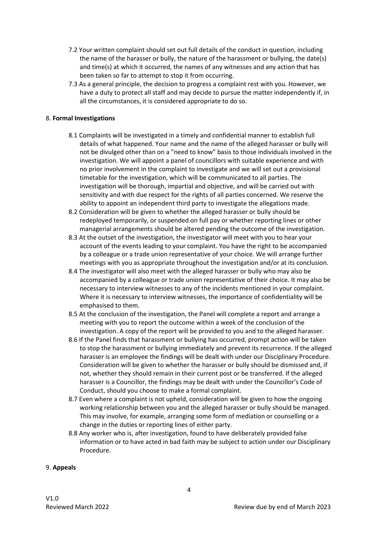- 7.2 Your written complaint should set out full details of the conduct in question, including the name of the harasser or bully, the nature of the harassment or bullying, the date(s) and time(s) at which it occurred, the names of any witnesses and any action that has been taken so far to attempt to stop it from occurring.
- 7.3 As a general principle, the decision to progress a complaint rest with you. However, we have a duty to protect all staff and may decide to pursue the matter independently if, in all the circumstances, it is considered appropriate to do so.

#### 8. **Formal Investigations**

- 8.1 Complaints will be investigated in a timely and confidential manner to establish full details of what happened. Your name and the name of the alleged harasser or bully will not be divulged other than on a "need to know" basis to those individuals involved in the investigation. We will appoint a panel of councillors with suitable experience and with no prior involvement in the complaint to investigate and we will set out a provisional timetable for the investigation, which will be communicated to all parties. The investigation will be thorough, impartial and objective, and will be carried out with sensitivity and with due respect for the rights of all parties concerned. We reserve the ability to appoint an independent third party to investigate the allegations made.
- 8.2 Consideration will be given to whether the alleged harasser or bully should be redeployed temporarily, or suspended on full pay or whether reporting lines or other managerial arrangements should be altered pending the outcome of the investigation.
- 8.3 At the outset of the investigation, the investigator will meet with you to hear your account of the events leading to your complaint. You have the right to be accompanied by a colleague or a trade union representative of your choice. We will arrange further meetings with you as appropriate throughout the investigation and/or at its conclusion.
- 8.4 The investigator will also meet with the alleged harasser or bully who may also be accompanied by a colleague or trade union representative of their choice. It may also be necessary to interview witnesses to any of the incidents mentioned in your complaint. Where it is necessary to interview witnesses, the importance of confidentiality will be emphasised to them.
- 8.5 At the conclusion of the investigation, the Panel will complete a report and arrange a meeting with you to report the outcome within a week of the conclusion of the investigation. A copy of the report will be provided to you and to the alleged harasser.
- 8.6 If the Panel finds that harassment or bullying has occurred, prompt action will be taken to stop the harassment or bullying immediately and prevent its recurrence. If the alleged harasser is an employee the findings will be dealt with under our Disciplinary Procedure. Consideration will be given to whether the harasser or bully should be dismissed and, if not, whether they should remain in their current post or be transferred. If the alleged harasser is a Councillor, the findings may be dealt with under the Councillor's Code of Conduct, should you choose to make a formal complaint.
- 8.7 Even where a complaint is not upheld, consideration will be given to how the ongoing working relationship between you and the alleged harasser or bully should be managed. This may involve, for example, arranging some form of mediation or counselling or a change in the duties or reporting lines of either party.
- 8.8 Any worker who is, after investigation, found to have deliberately provided false information or to have acted in bad faith may be subject to action under our Disciplinary Procedure.

#### 9. **Appeals**